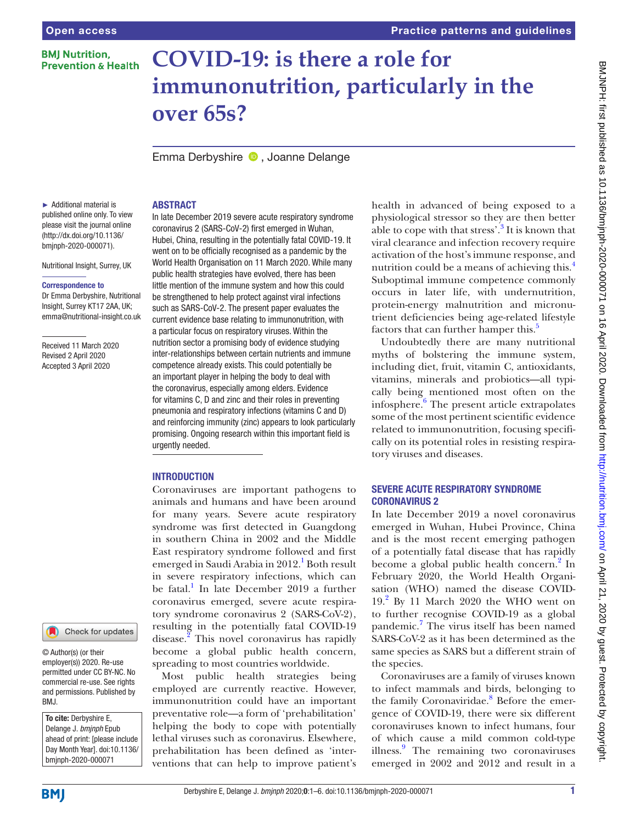## **BMI Nutrition. Prevention & Health**

# **COVID-19: is there a role for immunonutrition, particularly in the over 65s?**

EmmaDerbyshire <sup>1</sup>, Joanne Delange

#### ► Additional material is published online only. To view please visit the journal online (http://dx.doi.org/10.1136/ bmjnph-2020-000071).

Nutritional Insight, Surrey, UK

#### Correspondence to

Dr Emma Derbyshire, Nutritional Insight, Surrey KT17 2AA, UK; emma@nutritional-insight.co.uk

Received 11 March 2020 Revised 2 April 2020 Accepted 3 April 2020

Check for updates

© Author(s) (or their employer(s)) 2020. Re-use permitted under CC BY-NC. No commercial re-use. See rights and permissions. Published by BMJ.

To cite: Derbyshire E, Delange J. *bmjnph* Epub ahead of print: [please include Day Month Year]. doi:10.1136/ bmjnph-2020-000071

## **ABSTRACT**

In late December 2019 severe acute respiratory syndrome coronavirus 2 (SARS-CoV-2) first emerged in Wuhan, Hubei, China, resulting in the potentially fatal COVID-19. It went on to be officially recognised as a pandemic by the World Health Organisation on 11 March 2020. While many public health strategies have evolved, there has been little mention of the immune system and how this could be strengthened to help protect against viral infections such as SARS-CoV-2. The present paper evaluates the current evidence base relating to immunonutrition, with a particular focus on respiratory viruses. Within the nutrition sector a promising body of evidence studying inter-relationships between certain nutrients and immune competence already exists. This could potentially be an important player in helping the body to deal with the coronavirus, especially among elders. Evidence for vitamins C, D and zinc and their roles in preventing pneumonia and respiratory infections (vitamins C and D) and reinforcing immunity (zinc) appears to look particularly promising. Ongoing research within this important field is urgently needed.

## **INTRODUCTION**

Coronaviruses are important pathogens to animals and humans and have been around for many years. Severe acute respiratory syndrome was first detected in Guangdong in southern China in 2002 and the Middle East respiratory syndrome followed and first emerged in Saudi Arabia in 20[1](#page-4-0)2.<sup>1</sup> Both result in severe respiratory infections, which can be fatal.<sup>[1](#page-4-0)</sup> In late December 2019 a further coronavirus emerged, severe acute respiratory syndrome coronavirus 2 (SARS-CoV-2), resulting in the potentially fatal COVID-19 disease. $\frac{1}{2}$  This novel coronavirus has rapidly become a global public health concern, spreading to most countries worldwide.

Most public health strategies being employed are currently reactive. However, immunonutrition could have an important preventative role—a form of 'prehabilitation' helping the body to cope with potentially lethal viruses such as coronavirus. Elsewhere, prehabilitation has been defined as 'interventions that can help to improve patient's

health in advanced of being exposed to a physiological stressor so they are then better able to cope with that stress'. $3$  It is known that viral clearance and infection recovery require activation of the host's immune response, and nutrition could be a means of achieving this.[4](#page-4-3) Suboptimal immune competence commonly occurs in later life, with undernutrition, protein-energy malnutrition and micronutrient deficiencies being age-related lifestyle factors that can further hamper this.<sup>[5](#page-4-4)</sup>

Undoubtedly there are many nutritional myths of bolstering the immune system, including diet, fruit, vitamin C, antioxidants, vitamins, minerals and probiotics—all typically being mentioned most often on the infosphere.<sup>[6](#page-4-5)</sup> The present article extrapolates some of the most pertinent scientific evidence related to immunonutrition, focusing specifically on its potential roles in resisting respiratory viruses and diseases.

## Severe acute respiratory syndrome coronavirus 2

In late December 2019 a novel coronavirus emerged in Wuhan, Hubei Province, China and is the most recent emerging pathogen of a potentially fatal disease that has rapidly become a global public health concern.<sup>[2](#page-4-1)</sup> In February 2020, the World Health Organisation (WHO) named the disease COVID-19[.2](#page-4-1) By 11 March 2020 the WHO went on to further recognise COVID-19 as a global pandemic.<sup>[7](#page-4-6)</sup> The virus itself has been named SARS-CoV-2 as it has been determined as the same species as SARS but a different strain of the species.

Coronaviruses are a family of viruses known to infect mammals and birds, belonging to the family Coronaviridae.<sup>[8](#page-4-7)</sup> Before the emergence of COVID-19, there were six different coronaviruses known to infect humans, four of which cause a mild common cold-type illness.<sup>[9](#page-4-8)</sup> The remaining two coronaviruses emerged in 2002 and 2012 and result in a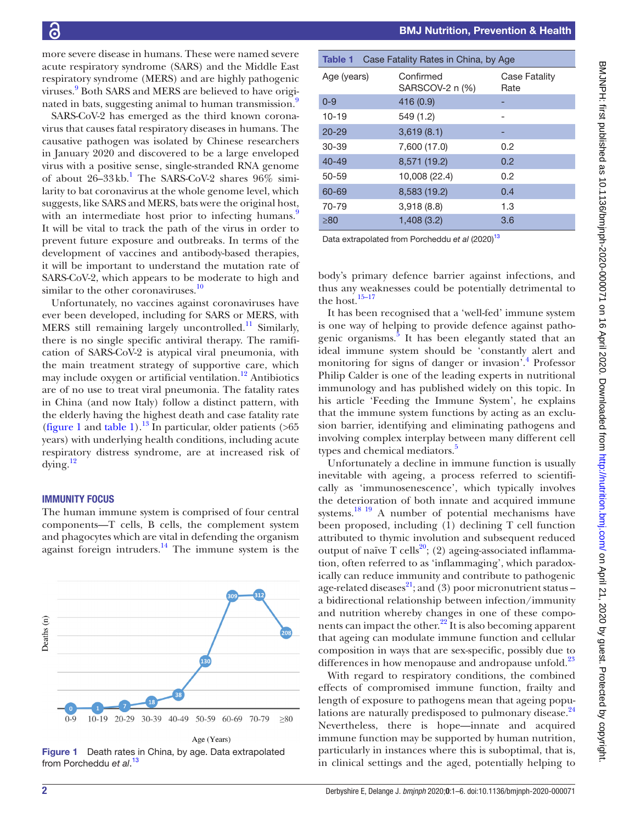more severe disease in humans. These were named severe acute respiratory syndrome (SARS) and the Middle East respiratory syndrome (MERS) and are highly pathogenic viruses.<sup>9</sup> Both SARS and MERS are believed to have origi-nated in bats, suggesting animal to human transmission.<sup>[9](#page-4-8)</sup>

SARS-CoV-2 has emerged as the third known coronavirus that causes fatal respiratory diseases in humans. The causative pathogen was isolated by Chinese researchers in January 2020 and discovered to be a large enveloped virus with a positive sense, single-stranded RNA genome of about 26-33kb.<sup>1</sup> The SARS-CoV-2 shares 96% similarity to bat coronavirus at the whole genome level, which suggests, like SARS and MERS, bats were the original host, with an intermediate host prior to infecting humans.<sup>[9](#page-4-8)</sup> It will be vital to track the path of the virus in order to prevent future exposure and outbreaks. In terms of the development of vaccines and antibody-based therapies, it will be important to understand the mutation rate of SARS-CoV-2, which appears to be moderate to high and similar to the other coronaviruses.<sup>[10](#page-4-10)</sup>

Unfortunately, no vaccines against coronaviruses have ever been developed, including for SARS or MERS, with MERS still remaining largely uncontrolled.<sup>[11](#page-4-11)</sup> Similarly, there is no single specific antiviral therapy. The ramification of SARS-CoV-2 is atypical viral pneumonia, with the main treatment strategy of supportive care, which may include oxygen or artificial ventilation.<sup>12</sup> Antibiotics are of no use to treat viral pneumonia. The fatality rates in China (and now Italy) follow a distinct pattern, with the elderly having the highest death and case fatality rate ([figure](#page-1-0) 1 and [table](#page-1-1) 1).<sup>13</sup> In particular, older patients ( $>65$ years) with underlying health conditions, including acute respiratory distress syndrome, are at increased risk of  $\frac{12}{2}$  $\frac{12}{2}$  $\frac{12}{2}$ 

#### Immunity focus



The human immune system is comprised of four central components—T cells, B cells, the complement system and phagocytes which are vital in defending the organism against foreign intruders.[14](#page-4-13) The immune system is the

<span id="page-1-0"></span>Figure 1 Death rates in China, by age. Data extrapolated from Porcheddu *et al*. [13](#page-4-9)

## BMJ Nutrition, Prevention & Health

<span id="page-1-1"></span>

| Case Fatality Rates in China, by Age<br><b>Table 1</b> |                              |                       |
|--------------------------------------------------------|------------------------------|-----------------------|
| Age (years)                                            | Confirmed<br>SARSCOV-2 n (%) | Case Fatality<br>Rate |
| $0 - 9$                                                | 416(0.9)                     |                       |
| $10 - 19$                                              | 549 (1.2)                    |                       |
| $20 - 29$                                              | 3,619(8.1)                   |                       |
| 30-39                                                  | 7,600 (17.0)                 | 0.2                   |
| $40 - 49$                                              | 8,571 (19.2)                 | 0.2                   |
| 50-59                                                  | 10,008 (22.4)                | 0.2                   |
| 60-69                                                  | 8,583 (19.2)                 | 0.4                   |
| 70-79                                                  | 3,918(8.8)                   | 1.3                   |
| ≥80                                                    | 1,408(3.2)                   | 3.6                   |

Data extrapolated from Porcheddu *et al* (2020)<sup>13</sup>

body's primary defence barrier against infections, and thus any weaknesses could be potentially detrimental to the host.<sup>[15–17](#page-4-14)</sup>

It has been recognised that a 'well-fed' immune system is one way of helping to provide defence against pathogenic organisms.<sup>5</sup> It has been elegantly stated that an ideal immune system should be 'constantly alert and monitoring for signs of danger or invasion'.[4](#page-4-3) Professor Philip Calder is one of the leading experts in nutritional immunology and has published widely on this topic. In his article 'Feeding the Immune System', he explains that the immune system functions by acting as an exclusion barrier, identifying and eliminating pathogens and involving complex interplay between many different cell types and chemical mediators.<sup>5</sup>

Unfortunately a decline in immune function is usually inevitable with ageing, a process referred to scientifically as 'immunosenescence', which typically involves the deterioration of both innate and acquired immune systems.<sup>18</sup> <sup>19</sup> A number of potential mechanisms have been proposed, including (1) declining T cell function attributed to thymic involution and subsequent reduced output of naïve T cells<sup>20</sup>; (2) ageing-associated inflammation, often referred to as 'inflammaging', which paradoxically can reduce immunity and contribute to pathogenic age-related diseases $^{21}$ ; and (3) poor micronutrient status – a bidirectional relationship between infection/immunity and nutrition whereby changes in one of these components can impact the other.<sup>22</sup> It is also becoming apparent that ageing can modulate immune function and cellular composition in ways that are sex-specific, possibly due to differences in how menopause and andropause unfold.<sup>23</sup>

With regard to respiratory conditions, the combined effects of compromised immune function, frailty and length of exposure to pathogens mean that ageing populations are naturally predisposed to pulmonary disease. $^{24}$  $^{24}$  $^{24}$ Nevertheless, there is hope—innate and acquired immune function may be supported by human nutrition, particularly in instances where this is suboptimal, that is, in clinical settings and the aged, potentially helping to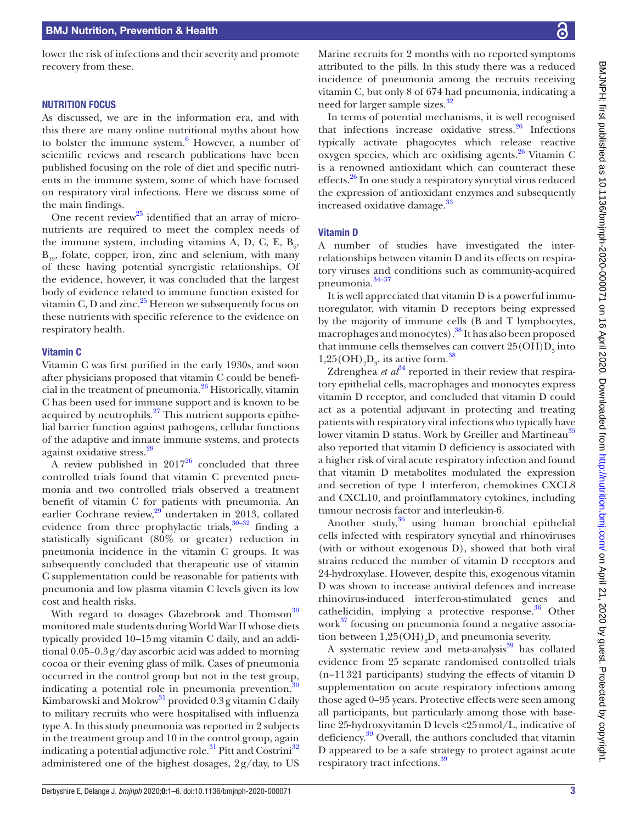lower the risk of infections and their severity and promote recovery from these.

#### **NUTRITION FOCUS**

As discussed, we are in the information era, and with this there are many online nutritional myths about how to bolster the immune system.<sup>[6](#page-4-5)</sup> However, a number of scientific reviews and research publications have been published focusing on the role of diet and specific nutrients in the immune system, some of which have focused on respiratory viral infections. Here we discuss some of the main findings.

One recent review<sup>25</sup> identified that an array of micronutrients are required to meet the complex needs of the immune system, including vitamins A, D, C, E,  $B_6$ ,  $B_{12}$ , folate, copper, iron, zinc and selenium, with many of these having potential synergistic relationships. Of the evidence, however, it was concluded that the largest body of evidence related to immune function existed for vitamin C, D and zinc. $^{25}$  Hereon we subsequently focus on these nutrients with specific reference to the evidence on respiratory health.

#### Vitamin C

Vitamin C was first purified in the early 1930s, and soon after physicians proposed that vitamin C could be beneficial in the treatment of pneumonia.[26](#page-4-22) Historically, vitamin C has been used for immune support and is known to be acquired by neutrophils. $27$  This nutrient supports epithelial barrier function against pathogens, cellular functions of the adaptive and innate immune systems, and protects against oxidative stress.<sup>28</sup>

A review published in  $2017^{26}$  $2017^{26}$  $2017^{26}$  concluded that three controlled trials found that vitamin C prevented pneumonia and two controlled trials observed a treatment benefit of vitamin C for patients with pneumonia. An earlier Cochrane review,<sup>29</sup> undertaken in 2013, collated evidence from three prophylactic trials,  $30-32$  finding a statistically significant (80% or greater) reduction in pneumonia incidence in the vitamin C groups. It was subsequently concluded that therapeutic use of vitamin C supplementation could be reasonable for patients with pneumonia and low plasma vitamin C levels given its low cost and health risks.

With regard to dosages Glazebrook and Thomson $30$ monitored male students during World War II whose diets typically provided 10–15mg vitamin C daily, and an additional 0.05–0.3g/day ascorbic acid was added to morning cocoa or their evening glass of milk. Cases of pneumonia occurred in the control group but not in the test group, indicating a potential role in pneumonia prevention.<sup>30</sup> Kimbarowski and Mokrow<sup>31</sup> provided 0.3g vitamin C daily to military recruits who were hospitalised with influenza type A. In this study pneumonia was reported in 2 subjects in the treatment group and 10 in the control group, again indicating a potential adjunctive role.<sup>31</sup> Pitt and Costrini<sup>32</sup> administered one of the highest dosages, 2g/day, to US

Marine recruits for 2 months with no reported symptoms attributed to the pills. In this study there was a reduced incidence of pneumonia among the recruits receiving vitamin C, but only 8 of 674 had pneumonia, indicating a need for larger sample sizes.<sup>[32](#page-4-28)</sup>

In terms of potential mechanisms, it is well recognised that infections increase oxidative stress. $26$  Infections typically activate phagocytes which release reactive oxygen species, which are oxidising agents.<sup>26</sup> Vitamin C is a renowned antioxidant which can counteract these effects.[26](#page-4-22) In one study a respiratory syncytial virus reduced the expression of antioxidant enzymes and subsequently increased oxidative damage.<sup>[33](#page-4-29)</sup>

#### Vitamin D

A number of studies have investigated the interrelationships between vitamin D and its effects on respiratory viruses and conditions such as community-acquired pneumonia.[34–37](#page-4-30)

It is well appreciated that vitamin D is a powerful immunoregulator, with vitamin D receptors being expressed by the majority of immune cells (B and T lymphocytes, macrophages and monocytes).[38](#page-5-0) It has also been proposed that immune cells themselves can convert  $25(OH)D_3$  into  $1,25(OH)_{2}D_{3}$ , its active form.<sup>38</sup>

Zdrenghea *et al*<sup>34</sup> reported in their review that respiratory epithelial cells, macrophages and monocytes express vitamin D receptor, and concluded that vitamin D could act as a potential adjuvant in protecting and treating patients with respiratory viral infections who typically have lower vitamin D status. Work by Greiller and Martineau<sup>[35](#page-4-31)</sup> also reported that vitamin D deficiency is associated with a higher risk of viral acute respiratory infection and found that vitamin D metabolites modulated the expression and secretion of type 1 interferon, chemokines CXCL8 and CXCL10, and proinflammatory cytokines, including tumour necrosis factor and interleukin-6.

Another study, $36$  using human bronchial epithelial cells infected with respiratory syncytial and rhinoviruses (with or without exogenous D), showed that both viral strains reduced the number of vitamin D receptors and 24-hydroxylase. However, despite this, exogenous vitamin D was shown to increase antiviral defences and increase rhinovirus-induced interferon-stimulated genes and cathelicidin, implying a protective response. $36$  Other  $work<sup>37</sup>$  focusing on pneumonia found a negative association between  $1,25(OH)_{2}D_{3}$  and pneumonia severity.

A systematic review and meta-analysis $39$  has collated evidence from 25 separate randomised controlled trials (n=11321 participants) studying the effects of vitamin D supplementation on acute respiratory infections among those aged 0–95 years. Protective effects were seen among all participants, but particularly among those with baseline 25-hydroxyvitamin D levels <25nmol/L, indicative of deficiency. [39](#page-5-3) Overall, the authors concluded that vitamin D appeared to be a safe strategy to protect against acute respiratory tract infections.<sup>39</sup>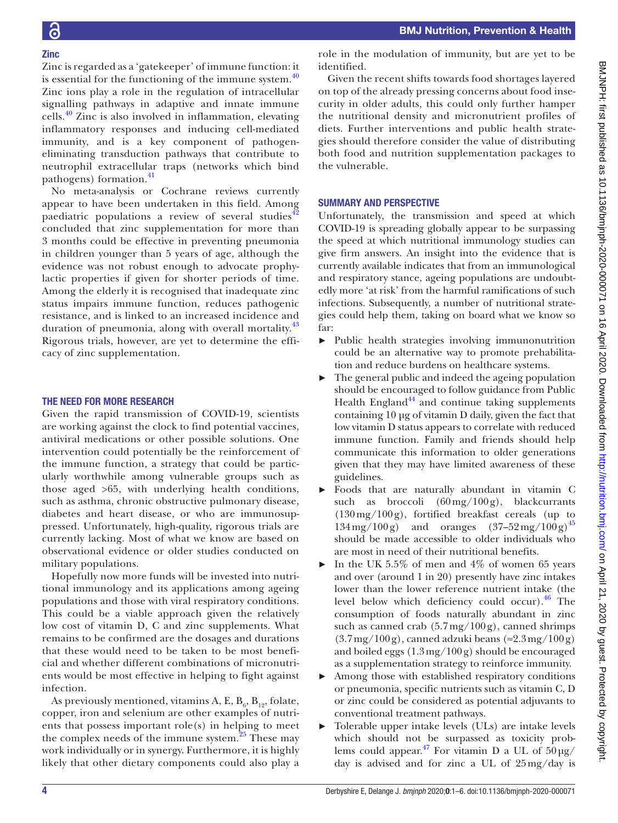## $\overline{G}$ Zinc

Zinc is regarded as a 'gatekeeper' of immune function: it is essential for the functioning of the immune system. $40$ Zinc ions play a role in the regulation of intracellular signalling pathways in adaptive and innate immune cells.[40](#page-5-4) Zinc is also involved in inflammation, elevating inflammatory responses and inducing cell-mediated immunity, and is a key component of pathogeneliminating transduction pathways that contribute to neutrophil extracellular traps (networks which bind pathogens) formation.<sup>[41](#page-5-5)</sup>

No meta-analysis or Cochrane reviews currently appear to have been undertaken in this field. Among paediatric populations a review of several studies $42$ concluded that zinc supplementation for more than 3 months could be effective in preventing pneumonia in children younger than 5 years of age, although the evidence was not robust enough to advocate prophylactic properties if given for shorter periods of time. Among the elderly it is recognised that inadequate zinc status impairs immune function, reduces pathogenic resistance, and is linked to an increased incidence and duration of pneumonia, along with overall mortality.<sup>[43](#page-5-7)</sup> Rigorous trials, however, are yet to determine the efficacy of zinc supplementation.

## The need for more research

Given the rapid transmission of COVID-19, scientists are working against the clock to find potential vaccines, antiviral medications or other possible solutions. One intervention could potentially be the reinforcement of the immune function, a strategy that could be particularly worthwhile among vulnerable groups such as those aged >65, with underlying health conditions, such as asthma, chronic obstructive pulmonary disease, diabetes and heart disease, or who are immunosuppressed. Unfortunately, high-quality, rigorous trials are currently lacking. Most of what we know are based on observational evidence or older studies conducted on military populations.

Hopefully now more funds will be invested into nutritional immunology and its applications among ageing populations and those with viral respiratory conditions. This could be a viable approach given the relatively low cost of vitamin D, C and zinc supplements. What remains to be confirmed are the dosages and durations that these would need to be taken to be most beneficial and whether different combinations of micronutrients would be most effective in helping to fight against infection.

As previously mentioned, vitamins A, E,  $B_6$ ,  $B_{12}$ , folate, copper, iron and selenium are other examples of nutrients that possess important  $role(s)$  in helping to meet the complex needs of the immune system. $25$  These may work individually or in synergy. Furthermore, it is highly likely that other dietary components could also play a

role in the modulation of immunity, but are yet to be identified.

Given the recent shifts towards food shortages layered on top of the already pressing concerns about food insecurity in older adults, this could only further hamper the nutritional density and micronutrient profiles of diets. Further interventions and public health strategies should therefore consider the value of distributing both food and nutrition supplementation packages to the vulnerable.

## Summary and perspective

Unfortunately, the transmission and speed at which COVID-19 is spreading globally appear to be surpassing the speed at which nutritional immunology studies can give firm answers. An insight into the evidence that is currently available indicates that from an immunological and respiratory stance, ageing populations are undoubtedly more 'at risk' from the harmful ramifications of such infections. Subsequently, a number of nutritional strategies could help them, taking on board what we know so far:

- ► Public health strategies involving immunonutrition could be an alternative way to promote prehabilitation and reduce burdens on healthcare systems.
- $\blacktriangleright$  The general public and indeed the ageing population should be encouraged to follow guidance from Public Health England<sup>44</sup> and continue taking supplements containing 10 μg of vitamin D daily, given the fact that low vitamin D status appears to correlate with reduced immune function. Family and friends should help communicate this information to older generations given that they may have limited awareness of these guidelines.
- ► Foods that are naturally abundant in vitamin C such as broccoli  $(60 \,\text{mg}/100 \,\text{g})$ , blackcurrants (130mg/100g), fortified breakfast cereals (up to  $134 \,\text{mg}/100 \,\text{g}$  and oranges  $(37-52 \,\text{mg}/100 \,\text{g})^{45}$  $(37-52 \,\text{mg}/100 \,\text{g})^{45}$  $(37-52 \,\text{mg}/100 \,\text{g})^{45}$ should be made accessible to older individuals who are most in need of their nutritional benefits.
- $\blacktriangleright$  In the UK 5.5% of men and 4% of women 65 years and over (around 1 in 20) presently have zinc intakes lower than the lower reference nutrient intake (the level below which deficiency could occur)[.46](#page-5-10) The consumption of foods naturally abundant in zinc such as canned crab  $(5.7 \text{ mg}/100 \text{ g})$ , canned shrimps  $(3.7 \text{ mg}/100 \text{ g})$ , canned adzuki beans (≈2.3 mg/100 g) and boiled eggs (1.3mg/100g) should be encouraged as a supplementation strategy to reinforce immunity.
- ► Among those with established respiratory conditions or pneumonia, specific nutrients such as vitamin C, D or zinc could be considered as potential adjuvants to conventional treatment pathways.
- ► Tolerable upper intake levels (ULs) are intake levels which should not be surpassed as toxicity prob-lems could appear.<sup>[47](#page-5-11)</sup> For vitamin D a UL of  $50\,\text{µg}$ / day is advised and for zinc a UL of 25mg/day is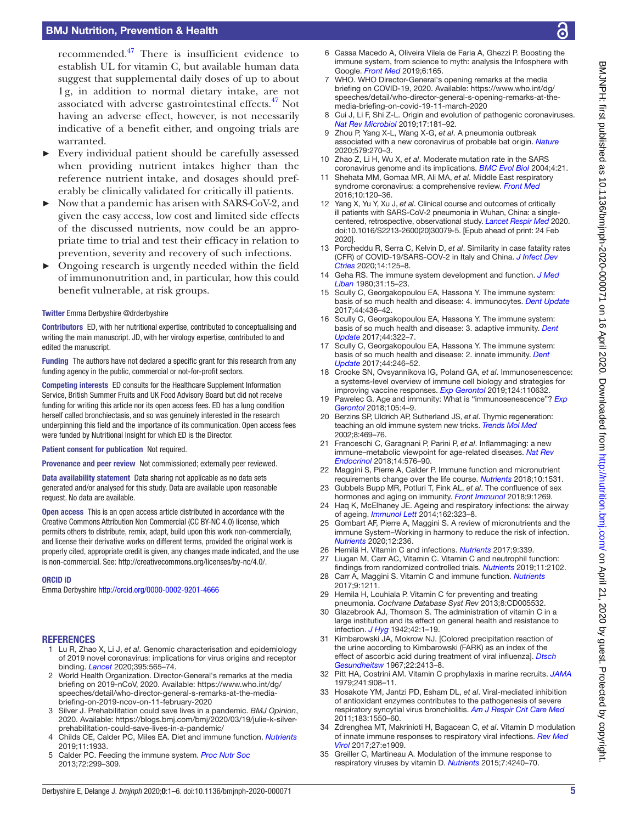## BMJ Nutrition, Prevention & Health

recommended.[47](#page-5-11) There is insufficient evidence to establish UL for vitamin C, but available human data suggest that supplemental daily doses of up to about 1g, in addition to normal dietary intake, are not associated with adverse gastrointestinal effects.<sup>[47](#page-5-11)</sup> Not having an adverse effect, however, is not necessarily indicative of a benefit either, and ongoing trials are warranted.

- ► Every individual patient should be carefully assessed when providing nutrient intakes higher than the reference nutrient intake, and dosages should preferably be clinically validated for critically ill patients.
- ► Now that a pandemic has arisen with SARS-CoV-2, and given the easy access, low cost and limited side effects of the discussed nutrients, now could be an appropriate time to trial and test their efficacy in relation to prevention, severity and recovery of such infections.
- ► Ongoing research is urgently needed within the field of immunonutrition and, in particular, how this could benefit vulnerable, at risk groups.

#### Twitter Emma Derbyshire [@drderbyshire](https://twitter.com/drderbyshire)

Contributors ED, with her nutritional expertise, contributed to conceptualising and writing the main manuscript. JD, with her virology expertise, contributed to and edited the manuscript.

Funding The authors have not declared a specific grant for this research from any funding agency in the public, commercial or not-for-profit sectors.

Competing interests ED consults for the Healthcare Supplement Information Service, British Summer Fruits and UK Food Advisory Board but did not receive funding for writing this article nor its open access fees. ED has a lung condition herself called bronchiectasis, and so was genuinely interested in the research underpinning this field and the importance of its communication. Open access fees were funded by Nutritional Insight for which ED is the Director.

Patient consent for publication Not required.

Provenance and peer review Not commissioned; externally peer reviewed.

Data availability statement Data sharing not applicable as no data sets generated and/or analysed for this study. Data are available upon reasonable request. No data are available.

Open access This is an open access article distributed in accordance with the Creative Commons Attribution Non Commercial (CC BY-NC 4.0) license, which permits others to distribute, remix, adapt, build upon this work non-commercially, and license their derivative works on different terms, provided the original work is properly cited, appropriate credit is given, any changes made indicated, and the use is non-commercial. See: [http://creativecommons.org/licenses/by-nc/4.0/.](http://creativecommons.org/licenses/by-nc/4.0/)

#### ORCID iD

Emma Derbyshire <http://orcid.org/0000-0002-9201-4666>

## **REFERENCES**

- <span id="page-4-0"></span>1 Lu R, Zhao X, Li J, *et al*. Genomic characterisation and epidemiology of 2019 novel coronavirus: implications for virus origins and receptor binding. *[Lancet](http://dx.doi.org/10.1016/S0140-6736(20)30251-8)* 2020;395:565–74.
- <span id="page-4-1"></span>2 World Health Organization. Director-General's remarks at the media briefing on 2019-nCoV, 2020. Available: [https://www.who.int/dg/](https://www.who.int/dg/speeches/detail/who-director-general-s-remarks-at-the-media-briefing-on-2019-ncov-on-11-february-2020) [speeches/detail/who-director-general-s-remarks-at-the-media](https://www.who.int/dg/speeches/detail/who-director-general-s-remarks-at-the-media-briefing-on-2019-ncov-on-11-february-2020)[briefing-on-2019-ncov-on-11-february-2020](https://www.who.int/dg/speeches/detail/who-director-general-s-remarks-at-the-media-briefing-on-2019-ncov-on-11-february-2020)
- <span id="page-4-2"></span>3 Silver J. Prehabilitation could save lives in a pandemic. *BMJ Opinion*, 2020. Available: [https://blogs.bmj.com/bmj/2020/03/19/julie-k-silver](https://blogs.bmj.com/bmj/2020/03/19/julie-k-silver-prehabilitation-could-save-lives-in-a-pandemic/)[prehabilitation-could-save-lives-in-a-pandemic/](https://blogs.bmj.com/bmj/2020/03/19/julie-k-silver-prehabilitation-could-save-lives-in-a-pandemic/)
- <span id="page-4-3"></span>4 Childs CE, Calder PC, Miles EA. Diet and immune function. *[Nutrients](http://dx.doi.org/10.3390/nu11081933)* 2019;11:1933.
- <span id="page-4-4"></span>5 Calder PC. Feeding the immune system. *[Proc Nutr Soc](http://dx.doi.org/10.1017/S0029665113001286)* 2013;72:299–309.
- <span id="page-4-5"></span>6 Cassa Macedo A, Oliveira Vilela de Faria A, Ghezzi P. Boosting the immune system, from science to myth: analysis the Infosphere with Google. *[Front Med](http://dx.doi.org/10.3389/fmed.2019.00165)* 2019;6:165.
- <span id="page-4-6"></span>WHO. WHO Director-General's opening remarks at the media briefing on COVID-19, 2020. Available: [https://www.who.int/dg/](https://www.who.int/dg/speeches/detail/who-director-general-s-opening-remarks-at-the-media-briefing-on-covid-19-11-march-2020) [speeches/detail/who-director-general-s-opening-remarks-at-the](https://www.who.int/dg/speeches/detail/who-director-general-s-opening-remarks-at-the-media-briefing-on-covid-19-11-march-2020)[media-briefing-on-covid-19-11-march-2020](https://www.who.int/dg/speeches/detail/who-director-general-s-opening-remarks-at-the-media-briefing-on-covid-19-11-march-2020)
- <span id="page-4-7"></span>Cui J, Li F, Shi Z-L. Origin and evolution of pathogenic coronaviruses. *[Nat Rev Microbiol](http://dx.doi.org/10.1038/s41579-018-0118-9)* 2019;17:181–92.
- <span id="page-4-8"></span>9 Zhou P, Yang X-L, Wang X-G, *et al*. A pneumonia outbreak associated with a new coronavirus of probable bat origin. *[Nature](http://dx.doi.org/10.1038/s41586-020-2012-7)* 2020;579:270–3.
- <span id="page-4-10"></span>10 Zhao Z, Li H, Wu X, *et al*. Moderate mutation rate in the SARS coronavirus genome and its implications. *[BMC Evol Biol](http://dx.doi.org/10.1186/1471-2148-4-21)* 2004;4:21.
- <span id="page-4-11"></span>11 Shehata MM, Gomaa MR, Ali MA, *et al*. Middle East respiratory syndrome coronavirus: a comprehensive review. *[Front Med](http://dx.doi.org/10.1007/s11684-016-0430-6)* 2016;10:120–36.
- <span id="page-4-12"></span>12 Yang X, Yu Y, Xu J, *et al*. Clinical course and outcomes of critically ill patients with SARS-CoV-2 pneumonia in Wuhan, China: a singlecentered, retrospective, observational study. *[Lancet Respir Med](http://dx.doi.org/10.1016/S2213-2600(20)30079-5)* 2020. doi:10.1016/S2213-2600(20)30079-5. [Epub ahead of print: 24 Feb 2020].
- <span id="page-4-9"></span>13 Porcheddu R, Serra C, Kelvin D, *et al*. Similarity in case fatality rates (CFR) of COVID-19/SARS-COV-2 in Italy and China. *[J Infect Dev](http://dx.doi.org/10.3855/jidc.12600)  [Ctries](http://dx.doi.org/10.3855/jidc.12600)* 2020;14:125–8.
- <span id="page-4-13"></span>14 Geha RS. The immune system development and function. *[J Med](http://www.ncbi.nlm.nih.gov/pubmed/http://www.ncbi.nlm.nih.gov/pubmed/16295324)  [Liban](http://www.ncbi.nlm.nih.gov/pubmed/http://www.ncbi.nlm.nih.gov/pubmed/16295324)* 1980;31:15–23.
- <span id="page-4-14"></span>15 Scully C, Georgakopoulou EA, Hassona Y. The immune system: basis of so much health and disease: 4. immunocytes. *[Dent Update](http://dx.doi.org/10.12968/denu.2017.44.5.436)* 2017;44:436–42.
- 16 Scully C, Georgakopoulou EA, Hassona Y. The immune system: basis of so much health and disease: 3. adaptive immunity. *[Dent](http://dx.doi.org/10.12968/denu.2017.44.4.322)  [Update](http://dx.doi.org/10.12968/denu.2017.44.4.322)* 2017;44:322–7.
- 17 Scully C, Georgakopoulou EA, Hassona Y. The immune system: basis of so much health and disease: 2. innate immunity. *[Dent](http://dx.doi.org/10.12968/denu.2017.44.3.246)  [Update](http://dx.doi.org/10.12968/denu.2017.44.3.246)* 2017;44:246–52.
- <span id="page-4-15"></span>18 Crooke SN, Ovsyannikova IG, Poland GA, *et al*. Immunosenescence: a systems-level overview of immune cell biology and strategies for improving vaccine responses. *[Exp Gerontol](http://dx.doi.org/10.1016/j.exger.2019.110632)* 2019;124:110632.
- 19 Pawelec G. Age and immunity: What is "immunosenescence"? *[Exp](http://dx.doi.org/10.1016/j.exger.2017.10.024)  [Gerontol](http://dx.doi.org/10.1016/j.exger.2017.10.024)* 2018;105:4–9.
- <span id="page-4-16"></span>20 Berzins SP, Uldrich AP, Sutherland JS, *et al*. Thymic regeneration: teaching an old immune system new tricks. *[Trends Mol Med](http://dx.doi.org/10.1016/S1471-4914(02)02415-2)* 2002;8:469–76.
- <span id="page-4-17"></span>21 Franceschi C, Garagnani P, Parini P, *et al*. Inflammaging: a new immune–metabolic viewpoint for age-related diseases. *[Nat Rev](http://dx.doi.org/10.1038/s41574-018-0059-4)  [Endocrinol](http://dx.doi.org/10.1038/s41574-018-0059-4)* 2018;14:576–90.
- <span id="page-4-18"></span>22 Maggini S, Pierre A, Calder P. Immune function and micronutrient requirements change over the life course. *[Nutrients](http://dx.doi.org/10.3390/nu10101531)* 2018;10:1531.
- <span id="page-4-19"></span>23 Gubbels Bupp MR, Potluri T, Fink AL, *et al*. The confluence of sex hormones and aging on immunity. *[Front Immunol](http://dx.doi.org/10.3389/fimmu.2018.01269)* 2018;9:1269.
- <span id="page-4-20"></span>24 Haq K, McElhaney JE. Ageing and respiratory infections: the airway of ageing. *[Immunol Lett](http://dx.doi.org/10.1016/j.imlet.2014.06.009)* 2014;162:323–8.
- <span id="page-4-21"></span>25 Gombart AF, Pierre A, Maggini S. A review of micronutrients and the immune System–Working in harmony to reduce the risk of infection. *[Nutrients](http://dx.doi.org/10.3390/nu12010236)* 2020;12:236.
- <span id="page-4-22"></span>26 Hemilä H. Vitamin C and infections. *[Nutrients](http://dx.doi.org/10.3390/nu9040339)* 2017;9:339.
- <span id="page-4-23"></span>27 Liugan M, Carr AC, Vitamin C. Vitamin C and neutrophil function: findings from randomized controlled trials. *[Nutrients](http://dx.doi.org/10.3390/nu11092102)* 2019;11:2102.
- <span id="page-4-24"></span>28 Carr A, Maggini S. Vitamin C and immune function. *[Nutrients](http://dx.doi.org/10.3390/nu9111211)*
- <span id="page-4-25"></span>2017;9:1211. 29 Hemila H, Louhiala P. Vitamin C for preventing and treating pneumonia. *Cochrane Database Syst Rev* 2013;8:CD005532.
- <span id="page-4-26"></span>30 Glazebrook AJ, Thomson S. The administration of vitamin C in a large institution and its effect on general health and resistance to infection. *[J Hyg](http://dx.doi.org/10.1017/S0022172400012596)* 1942;42:1–19.
- <span id="page-4-27"></span>31 Kimbarowski JA, Mokrow NJ. [Colored precipitation reaction of the urine according to Kimbarowski (FARK) as an index of the effect of ascorbic acid during treatment of viral influenza]. *[Dtsch](http://www.ncbi.nlm.nih.gov/pubmed/http://www.ncbi.nlm.nih.gov/pubmed/5614915)  [Gesundheitsw](http://www.ncbi.nlm.nih.gov/pubmed/http://www.ncbi.nlm.nih.gov/pubmed/5614915)* 1967;22:2413–8.
- <span id="page-4-28"></span>32 Pitt HA, Costrini AM. Vitamin C prophylaxis in marine recruits. *[JAMA](http://dx.doi.org/10.1001/jama.1979.03290350028016)* 1979;241:908–11.
- <span id="page-4-29"></span>33 Hosakote YM, Jantzi PD, Esham DL, *et al*. Viral-mediated inhibition of antioxidant enzymes contributes to the pathogenesis of severe respiratory syncytial virus bronchiolitis. *[Am J Respir Crit Care Med](http://dx.doi.org/10.1164/rccm.201010-1755OC)* 2011;183:1550–60.
- <span id="page-4-30"></span>34 Zdrenghea MT, Makrinioti H, Bagacean C, *et al*. Vitamin D modulation of innate immune responses to respiratory viral infections. *[Rev Med](http://dx.doi.org/10.1002/rmv.1909)  [Virol](http://dx.doi.org/10.1002/rmv.1909)* 2017;27:e1909.
- <span id="page-4-31"></span>35 Greiller C, Martineau A. Modulation of the immune response to respiratory viruses by vitamin D. *[Nutrients](http://dx.doi.org/10.3390/nu7064240)* 2015;7:4240–70.